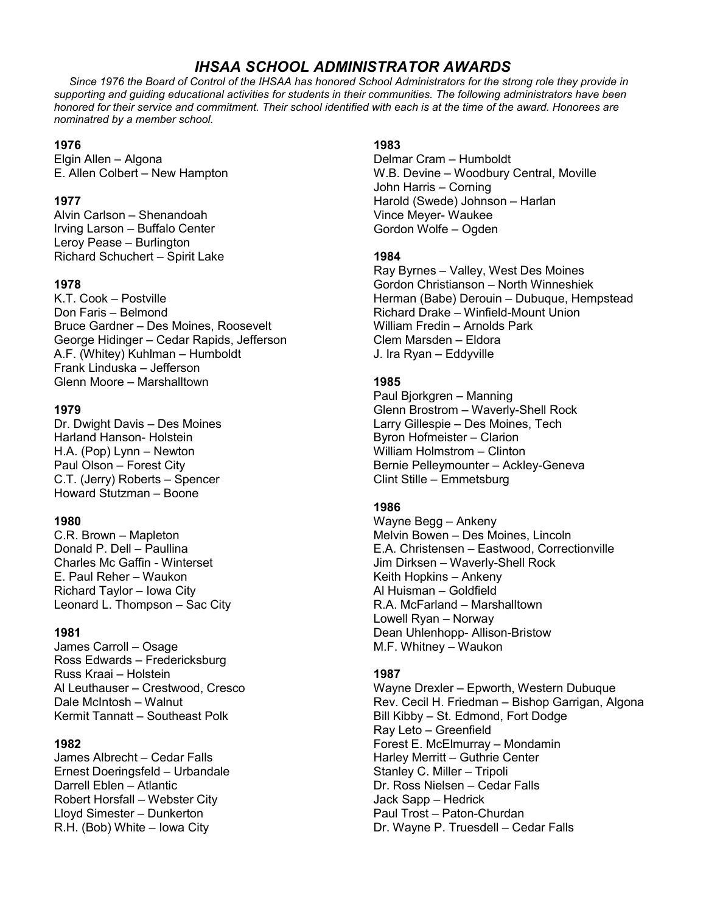# *IHSAA SCHOOL ADMINISTRATOR AWARDS*

 *Since 1976 the Board of Control of the IHSAA has honored School Administrators for the strong role they provide in supporting and guiding educational activities for students in their communities. The following administrators have been honored for their service and commitment. Their school identified with each is at the time of the award. Honorees are nominatred by a member school.*

### **1976**

Elgin Allen – Algona E. Allen Colbert – New Hampton

### **1977**

Alvin Carlson – Shenandoah Irving Larson – Buffalo Center Leroy Pease – Burlington Richard Schuchert – Spirit Lake

### **1978**

K.T. Cook – Postville Don Faris – Belmond Bruce Gardner – Des Moines, Roosevelt George Hidinger – Cedar Rapids, Jefferson A.F. (Whitey) Kuhlman – Humboldt Frank Linduska – Jefferson Glenn Moore – Marshalltown

### **1979**

Dr. Dwight Davis – Des Moines Harland Hanson- Holstein H.A. (Pop) Lynn – Newton Paul Olson – Forest City C.T. (Jerry) Roberts – Spencer Howard Stutzman – Boone

### **1980**

C.R. Brown – Mapleton Donald P. Dell – Paullina Charles Mc Gaffin - Winterset E. Paul Reher – Waukon Richard Taylor – Iowa City Leonard L. Thompson – Sac City

### **1981**

James Carroll – Osage Ross Edwards – Fredericksburg Russ Kraai – Holstein Al Leuthauser – Crestwood, Cresco Dale McIntosh – Walnut Kermit Tannatt – Southeast Polk

### **1982**

James Albrecht – Cedar Falls Ernest Doeringsfeld – Urbandale Darrell Eblen – Atlantic Robert Horsfall – Webster City Lloyd Simester – Dunkerton R.H. (Bob) White – Iowa City

### **1983**

Delmar Cram – Humboldt W.B. Devine – Woodbury Central, Moville John Harris – Corning Harold (Swede) Johnson – Harlan Vince Meyer- Waukee Gordon Wolfe – Ogden

### **1984**

Ray Byrnes – Valley, West Des Moines Gordon Christianson – North Winneshiek Herman (Babe) Derouin – Dubuque, Hempstead Richard Drake – Winfield-Mount Union William Fredin – Arnolds Park Clem Marsden – Eldora J. Ira Ryan – Eddyville

## **1985**

Paul Bjorkgren – Manning Glenn Brostrom – Waverly-Shell Rock Larry Gillespie – Des Moines, Tech Byron Hofmeister – Clarion William Holmstrom – Clinton Bernie Pelleymounter – Ackley-Geneva Clint Stille – Emmetsburg

### **1986**

Wayne Begg – Ankeny Melvin Bowen – Des Moines, Lincoln E.A. Christensen – Eastwood, Correctionville Jim Dirksen – Waverly-Shell Rock Keith Hopkins – Ankeny Al Huisman – Goldfield R.A. McFarland – Marshalltown Lowell Ryan – Norway Dean Uhlenhopp- Allison-Bristow M.F. Whitney – Waukon

### **1987**

Wayne Drexler – Epworth, Western Dubuque Rev. Cecil H. Friedman – Bishop Garrigan, Algona Bill Kibby – St. Edmond, Fort Dodge Ray Leto – Greenfield Forest E. McElmurray – Mondamin Harley Merritt – Guthrie Center Stanley C. Miller – Tripoli Dr. Ross Nielsen – Cedar Falls Jack Sapp – Hedrick Paul Trost – Paton-Churdan Dr. Wayne P. Truesdell – Cedar Falls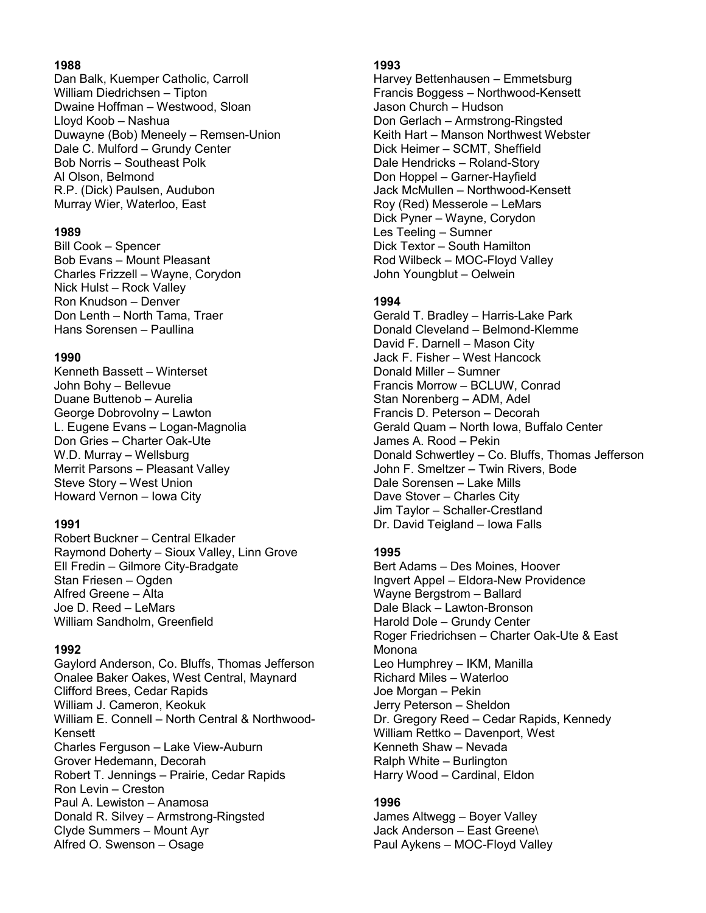#### **1988**

Dan Balk, Kuemper Catholic, Carroll William Diedrichsen – Tipton Dwaine Hoffman – Westwood, Sloan Lloyd Koob – Nashua Duwayne (Bob) Meneely – Remsen-Union Dale C. Mulford – Grundy Center Bob Norris – Southeast Polk Al Olson, Belmond R.P. (Dick) Paulsen, Audubon Murray Wier, Waterloo, East

#### **1989**

Bill Cook – Spencer Bob Evans – Mount Pleasant Charles Frizzell – Wayne, Corydon Nick Hulst – Rock Valley Ron Knudson – Denver Don Lenth – North Tama, Traer Hans Sorensen – Paullina

#### **1990**

Kenneth Bassett – Winterset John Bohy – Bellevue Duane Buttenob – Aurelia George Dobrovolny – Lawton L. Eugene Evans – Logan-Magnolia Don Gries – Charter Oak-Ute W.D. Murray – Wellsburg Merrit Parsons – Pleasant Valley Steve Story – West Union Howard Vernon – Iowa City

#### **1991**

Robert Buckner – Central Elkader Raymond Doherty – Sioux Valley, Linn Grove Ell Fredin – Gilmore City-Bradgate Stan Friesen – Ogden Alfred Greene – Alta Joe D. Reed – LeMars William Sandholm, Greenfield

### **1992**

Gaylord Anderson, Co. Bluffs, Thomas Jefferson Onalee Baker Oakes, West Central, Maynard Clifford Brees, Cedar Rapids William J. Cameron, Keokuk William E. Connell – North Central & Northwood-Kensett Charles Ferguson – Lake View-Auburn Grover Hedemann, Decorah Robert T. Jennings – Prairie, Cedar Rapids Ron Levin – Creston Paul A. Lewiston – Anamosa Donald R. Silvey – Armstrong-Ringsted Clyde Summers – Mount Ayr Alfred O. Swenson – Osage

#### **1993**

Harvey Bettenhausen – Emmetsburg Francis Boggess – Northwood-Kensett Jason Church – Hudson Don Gerlach – Armstrong-Ringsted Keith Hart – Manson Northwest Webster Dick Heimer – SCMT, Sheffield Dale Hendricks – Roland-Story Don Hoppel – Garner-Hayfield Jack McMullen – Northwood-Kensett Roy (Red) Messerole – LeMars Dick Pyner – Wayne, Corydon Les Teeling – Sumner Dick Textor – South Hamilton Rod Wilbeck – MOC-Floyd Valley John Youngblut – Oelwein

### **1994**

Gerald T. Bradley – Harris-Lake Park Donald Cleveland – Belmond-Klemme David F. Darnell – Mason City Jack F. Fisher – West Hancock Donald Miller – Sumner Francis Morrow – BCLUW, Conrad Stan Norenberg – ADM, Adel Francis D. Peterson – Decorah Gerald Quam – North Iowa, Buffalo Center James A. Rood – Pekin Donald Schwertley – Co. Bluffs, Thomas Jefferson John F. Smeltzer – Twin Rivers, Bode Dale Sorensen – Lake Mills Dave Stover – Charles City Jim Taylor – Schaller-Crestland Dr. David Teigland – Iowa Falls

# **1995**

Bert Adams – Des Moines, Hoover Ingvert Appel – Eldora-New Providence Wayne Bergstrom – Ballard Dale Black – Lawton-Bronson Harold Dole – Grundy Center Roger Friedrichsen – Charter Oak-Ute & East **Monona** Leo Humphrey – IKM, Manilla Richard Miles – Waterloo Joe Morgan – Pekin Jerry Peterson – Sheldon Dr. Gregory Reed – Cedar Rapids, Kennedy William Rettko – Davenport, West Kenneth Shaw – Nevada Ralph White – Burlington Harry Wood – Cardinal, Eldon

### **1996**

James Altwegg – Boyer Valley Jack Anderson – East Greene\ Paul Aykens – MOC-Floyd Valley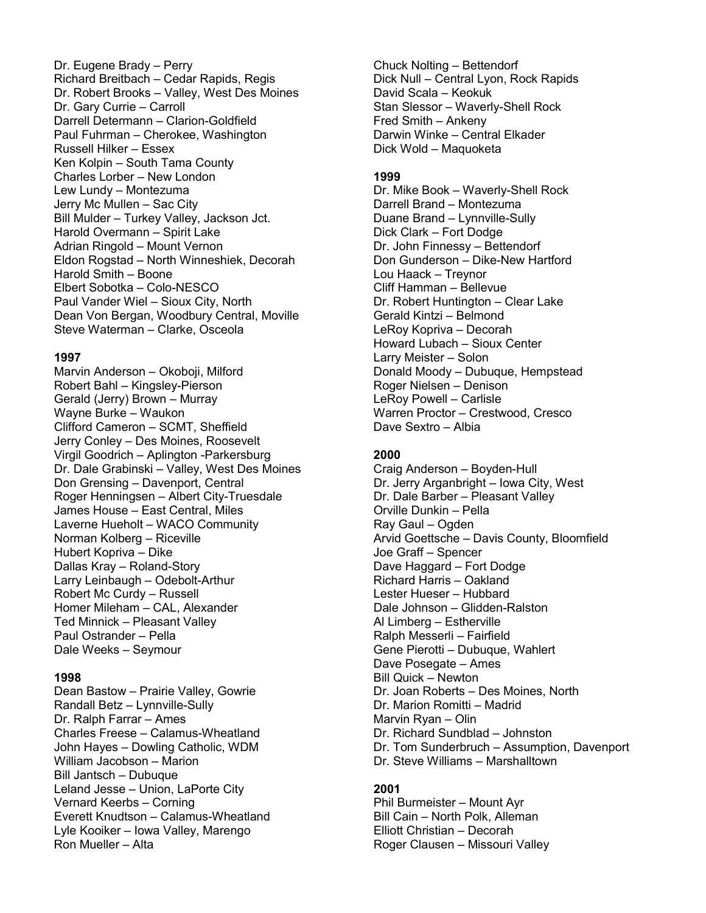Dr. Eugene Brady – Perry Richard Breitbach – Cedar Rapids, Regis Dr. Robert Brooks – Valley, West Des Moines Dr. Gary Currie – Carroll Darrell Determann – Clarion-Goldfield Paul Fuhrman – Cherokee, Washington Russell Hilker – Essex Ken Kolpin – South Tama County Charles Lorber – New London Lew Lundy – Montezuma Jerry Mc Mullen – Sac City Bill Mulder – Turkey Valley, Jackson Jct. Harold Overmann – Spirit Lake Adrian Ringold – Mount Vernon Eldon Rogstad – North Winneshiek, Decorah Harold Smith – Boone Elbert Sobotka – Colo-NESCO Paul Vander Wiel – Sioux City, North Dean Von Bergan, Woodbury Central, Moville Steve Waterman – Clarke, Osceola

#### **1997**

Marvin Anderson – Okoboji, Milford Robert Bahl – Kingsley-Pierson Gerald (Jerry) Brown – Murray Wayne Burke – Waukon Clifford Cameron – SCMT, Sheffield Jerry Conley – Des Moines, Roosevelt Virgil Goodrich – Aplington -Parkersburg Dr. Dale Grabinski – Valley, West Des Moines Don Grensing – Davenport, Central Roger Henningsen – Albert City-Truesdale James House – East Central, Miles Laverne Hueholt – WACO Community Norman Kolberg – Riceville Hubert Kopriva – Dike Dallas Kray – Roland-Story Larry Leinbaugh – Odebolt-Arthur Robert Mc Curdy – Russell Homer Mileham – CAL, Alexander Ted Minnick – Pleasant Valley Paul Ostrander – Pella Dale Weeks – Seymour

#### **1998**

Dean Bastow – Prairie Valley, Gowrie Randall Betz – Lynnville-Sully Dr. Ralph Farrar – Ames Charles Freese – Calamus-Wheatland John Hayes – Dowling Catholic, WDM William Jacobson – Marion Bill Jantsch – Dubuque Leland Jesse – Union, LaPorte City Vernard Keerbs – Corning Everett Knudtson – Calamus-Wheatland Lyle Kooiker – Iowa Valley, Marengo Ron Mueller – Alta

Chuck Nolting – Bettendorf Dick Null – Central Lyon, Rock Rapids David Scala – Keokuk Stan Slessor – Waverly-Shell Rock Fred Smith – Ankeny Darwin Winke – Central Elkader Dick Wold – Maquoketa

#### **1999**

Dr. Mike Book – Waverly-Shell Rock Darrell Brand – Montezuma Duane Brand – Lynnville-Sully Dick Clark – Fort Dodge Dr. John Finnessy – Bettendorf Don Gunderson – Dike-New Hartford Lou Haack – Treynor Cliff Hamman – Bellevue Dr. Robert Huntington – Clear Lake Gerald Kintzi – Belmond LeRoy Kopriva – Decorah Howard Lubach – Sioux Center Larry Meister – Solon Donald Moody – Dubuque, Hempstead Roger Nielsen – Denison LeRoy Powell – Carlisle Warren Proctor – Crestwood, Cresco Dave Sextro – Albia

#### **2000**

Craig Anderson – Boyden-Hull Dr. Jerry Arganbright – Iowa City, West Dr. Dale Barber – Pleasant Valley Orville Dunkin – Pella Ray Gaul – Ogden Arvid Goettsche – Davis County, Bloomfield Joe Graff – Spencer Dave Haggard – Fort Dodge Richard Harris – Oakland Lester Hueser – Hubbard Dale Johnson – Glidden-Ralston Al Limberg – Estherville Ralph Messerli – Fairfield Gene Pierotti – Dubuque, Wahlert Dave Posegate – Ames Bill Quick – Newton Dr. Joan Roberts – Des Moines, North Dr. Marion Romitti – Madrid Marvin Ryan – Olin Dr. Richard Sundblad – Johnston Dr. Tom Sunderbruch – Assumption, Davenport Dr. Steve Williams – Marshalltown

#### **2001**

Phil Burmeister – Mount Ayr Bill Cain – North Polk, Alleman Elliott Christian – Decorah Roger Clausen – Missouri Valley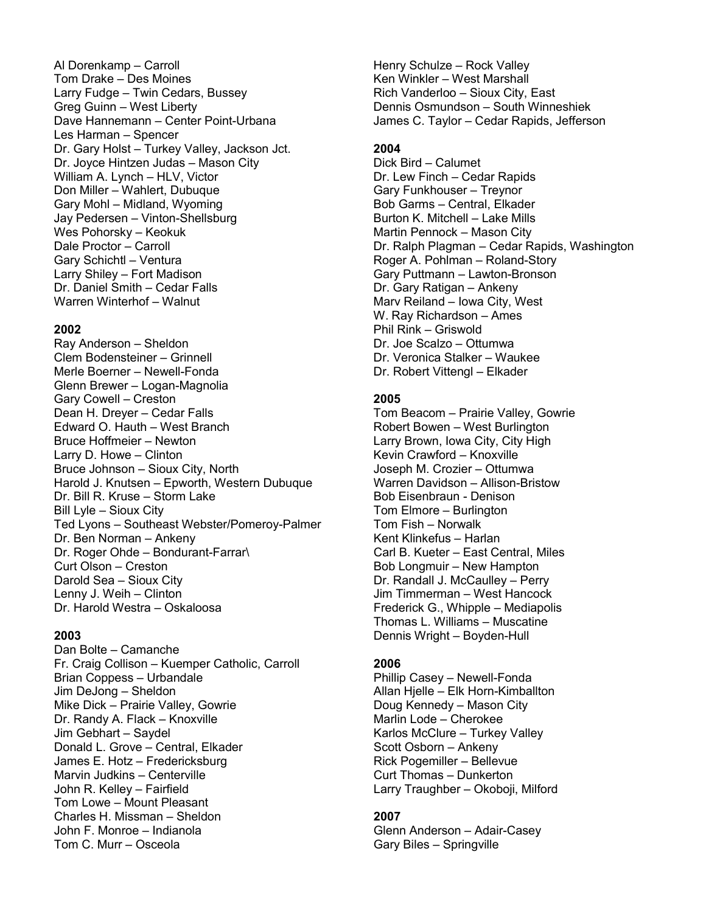Al Dorenkamp – Carroll Tom Drake – Des Moines Larry Fudge – Twin Cedars, Bussey Greg Guinn – West Liberty Dave Hannemann – Center Point-Urbana Les Harman – Spencer Dr. Gary Holst – Turkey Valley, Jackson Jct. Dr. Joyce Hintzen Judas – Mason City William A. Lynch – HLV, Victor Don Miller – Wahlert, Dubuque Gary Mohl – Midland, Wyoming Jay Pedersen – Vinton-Shellsburg Wes Pohorsky – Keokuk Dale Proctor – Carroll Gary Schichtl – Ventura Larry Shiley – Fort Madison Dr. Daniel Smith – Cedar Falls Warren Winterhof – Walnut

#### **2002**

Ray Anderson – Sheldon Clem Bodensteiner – Grinnell Merle Boerner – Newell-Fonda Glenn Brewer – Logan-Magnolia Gary Cowell – Creston Dean H. Dreyer – Cedar Falls Edward O. Hauth – West Branch Bruce Hoffmeier – Newton Larry D. Howe – Clinton Bruce Johnson – Sioux City, North Harold J. Knutsen – Epworth, Western Dubuque Dr. Bill R. Kruse – Storm Lake Bill Lyle – Sioux City Ted Lyons – Southeast Webster/Pomeroy-Palmer Dr. Ben Norman – Ankeny Dr. Roger Ohde – Bondurant-Farrar\ Curt Olson – Creston Darold Sea – Sioux City Lenny J. Weih – Clinton Dr. Harold Westra – Oskaloosa

#### **2003**

Dan Bolte – Camanche Fr. Craig Collison – Kuemper Catholic, Carroll Brian Coppess – Urbandale Jim DeJong – Sheldon Mike Dick – Prairie Valley, Gowrie Dr. Randy A. Flack – Knoxville Jim Gebhart – Saydel Donald L. Grove – Central, Elkader James E. Hotz – Fredericksburg Marvin Judkins – Centerville John R. Kelley – Fairfield Tom Lowe – Mount Pleasant Charles H. Missman – Sheldon John F. Monroe – Indianola Tom C. Murr – Osceola

Henry Schulze – Rock Valley Ken Winkler – West Marshall Rich Vanderloo – Sioux City, East Dennis Osmundson – South Winneshiek James C. Taylor – Cedar Rapids, Jefferson

#### **2004**

Dick Bird – Calumet Dr. Lew Finch – Cedar Rapids Gary Funkhouser – Treynor Bob Garms – Central, Elkader Burton K. Mitchell – Lake Mills Martin Pennock – Mason City Dr. Ralph Plagman – Cedar Rapids, Washington Roger A. Pohlman – Roland-Story Gary Puttmann – Lawton-Bronson Dr. Gary Ratigan – Ankeny Marv Reiland – Iowa City, West W. Ray Richardson – Ames Phil Rink – Griswold Dr. Joe Scalzo – Ottumwa Dr. Veronica Stalker – Waukee Dr. Robert Vittengl – Elkader

#### **2005**

Tom Beacom – Prairie Valley, Gowrie Robert Bowen – West Burlington Larry Brown, Iowa City, City High Kevin Crawford – Knoxville Joseph M. Crozier – Ottumwa Warren Davidson – Allison-Bristow Bob Eisenbraun - Denison Tom Elmore – Burlington Tom Fish – Norwalk Kent Klinkefus – Harlan Carl B. Kueter – East Central, Miles Bob Longmuir – New Hampton Dr. Randall J. McCaulley – Perry Jim Timmerman – West Hancock Frederick G., Whipple – Mediapolis Thomas L. Williams – Muscatine Dennis Wright – Boyden-Hull

### **2006**

Phillip Casey – Newell-Fonda Allan Hjelle – Elk Horn-Kimballton Doug Kennedy – Mason City Marlin Lode – Cherokee Karlos McClure – Turkey Valley Scott Osborn – Ankeny Rick Pogemiller – Bellevue Curt Thomas – Dunkerton Larry Traughber – Okoboji, Milford

### **2007**

Glenn Anderson – Adair-Casey Gary Biles – Springville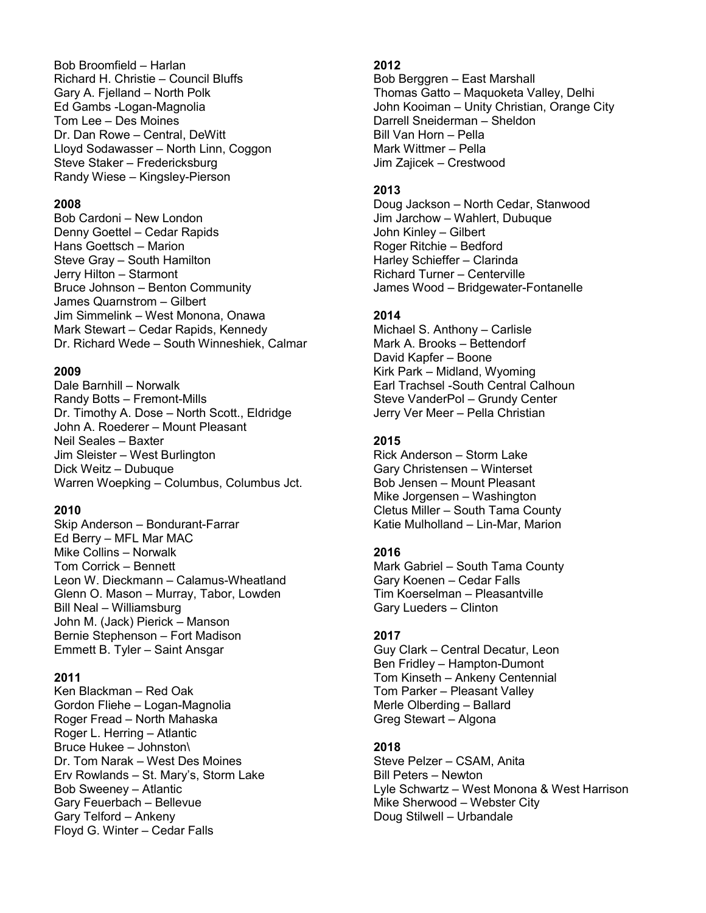Bob Broomfield – Harlan Richard H. Christie – Council Bluffs Gary A. Fjelland – North Polk Ed Gambs -Logan-Magnolia Tom Lee – Des Moines Dr. Dan Rowe – Central, DeWitt Lloyd Sodawasser – North Linn, Coggon Steve Staker – Fredericksburg Randy Wiese – Kingsley-Pierson

#### **2008**

Bob Cardoni – New London Denny Goettel – Cedar Rapids Hans Goettsch – Marion Steve Gray – South Hamilton Jerry Hilton – Starmont Bruce Johnson – Benton Community James Quarnstrom – Gilbert Jim Simmelink – West Monona, Onawa Mark Stewart – Cedar Rapids, Kennedy Dr. Richard Wede – South Winneshiek, Calmar

#### **2009**

Dale Barnhill – Norwalk Randy Botts – Fremont-Mills Dr. Timothy A. Dose – North Scott., Eldridge John A. Roederer – Mount Pleasant Neil Seales – Baxter Jim Sleister – West Burlington Dick Weitz – Dubuque Warren Woepking – Columbus, Columbus Jct.

#### **2010**

Skip Anderson – Bondurant-Farrar Ed Berry – MFL Mar MAC Mike Collins – Norwalk Tom Corrick – Bennett Leon W. Dieckmann – Calamus-Wheatland Glenn O. Mason – Murray, Tabor, Lowden Bill Neal – Williamsburg John M. (Jack) Pierick – Manson Bernie Stephenson – Fort Madison Emmett B. Tyler – Saint Ansgar

#### **2011**

Ken Blackman – Red Oak Gordon Fliehe – Logan-Magnolia Roger Fread – North Mahaska Roger L. Herring – Atlantic Bruce Hukee – Johnston\ Dr. Tom Narak – West Des Moines Erv Rowlands – St. Mary's, Storm Lake Bob Sweeney – Atlantic Gary Feuerbach – Bellevue Gary Telford – Ankeny Floyd G. Winter – Cedar Falls

### **2012**

Bob Berggren – East Marshall Thomas Gatto – Maquoketa Valley, Delhi John Kooiman – Unity Christian, Orange City Darrell Sneiderman – Sheldon Bill Van Horn – Pella Mark Wittmer – Pella Jim Zajicek – Crestwood

#### **2013**

Doug Jackson – North Cedar, Stanwood Jim Jarchow – Wahlert, Dubuque John Kinley – Gilbert Roger Ritchie – Bedford Harley Schieffer – Clarinda Richard Turner – Centerville James Wood – Bridgewater-Fontanelle

#### **2014**

Michael S. Anthony – Carlisle Mark A. Brooks – Bettendorf David Kapfer – Boone Kirk Park – Midland, Wyoming Earl Trachsel -South Central Calhoun Steve VanderPol – Grundy Center Jerry Ver Meer – Pella Christian

#### **2015**

Rick Anderson – Storm Lake Gary Christensen – Winterset Bob Jensen – Mount Pleasant Mike Jorgensen – Washington Cletus Miller – South Tama County Katie Mulholland – Lin-Mar, Marion

### **2016**

Mark Gabriel – South Tama County Gary Koenen – Cedar Falls Tim Koerselman – Pleasantville Gary Lueders – Clinton

### **2017**

Guy Clark – Central Decatur, Leon Ben Fridley – Hampton-Dumont Tom Kinseth – Ankeny Centennial Tom Parker – Pleasant Valley Merle Olberding – Ballard Greg Stewart – Algona

#### **2018**

Steve Pelzer – CSAM, Anita Bill Peters – Newton Lyle Schwartz – West Monona & West Harrison Mike Sherwood – Webster City Doug Stilwell – Urbandale